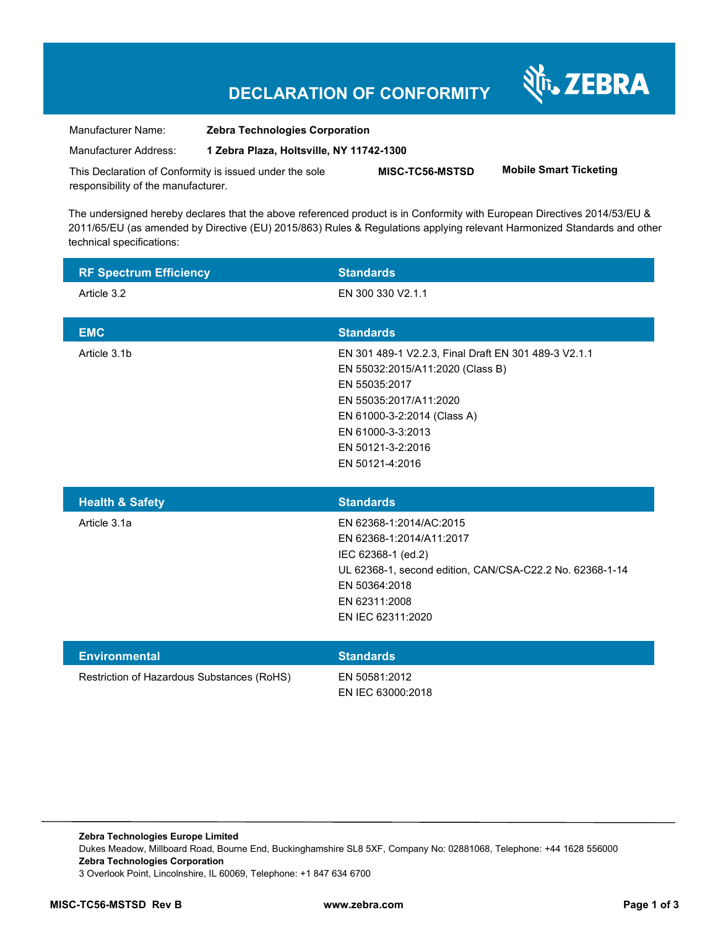## **DECLARATION OF CONFORMITY**

Nr. ZEBRA

| Manufacturer Name:                                                                             | <b>Zebra Technologies Corporation</b>    |                 |                               |
|------------------------------------------------------------------------------------------------|------------------------------------------|-----------------|-------------------------------|
| Manufacturer Address:                                                                          | 1 Zebra Plaza, Holtsville, NY 11742-1300 |                 |                               |
| This Declaration of Conformity is issued under the sole<br>responsibility of the manufacturer. |                                          | MISC-TC56-MSTSD | <b>Mobile Smart Ticketing</b> |

The undersigned hereby declares that the above referenced product is in Conformity with European Directives 2014/53/EU & 2011/65/EU (as amended by Directive (EU) 2015/863) Rules & Regulations applying relevant Harmonized Standards and other technical specifications:

| <b>RF Spectrum Efficiency</b>              | <b>Standards</b>                                                                                                                                                                                                                |
|--------------------------------------------|---------------------------------------------------------------------------------------------------------------------------------------------------------------------------------------------------------------------------------|
| Article 3.2                                | EN 300 330 V2.1.1                                                                                                                                                                                                               |
| <b>EMC</b>                                 | <b>Standards</b>                                                                                                                                                                                                                |
| Article 3.1b                               | EN 301 489-1 V2.2.3, Final Draft EN 301 489-3 V2.1.1<br>EN 55032:2015/A11:2020 (Class B)<br>EN 55035:2017<br>EN 55035:2017/A11:2020<br>EN 61000-3-2:2014 (Class A)<br>EN 61000-3-3:2013<br>EN 50121-3-2:2016<br>EN 50121-4:2016 |
| <b>Health &amp; Safety</b>                 | <b>Standards</b>                                                                                                                                                                                                                |
| Article 3.1a                               | EN 62368-1:2014/AC:2015<br>EN 62368-1:2014/A11:2017<br>IEC 62368-1 (ed.2)<br>UL 62368-1, second edition, CAN/CSA-C22.2 No. 62368-1-14<br>EN 50364:2018<br>EN 62311:2008<br>EN IEC 62311:2020                                    |
| <b>Environmental</b>                       | <b>Standards</b>                                                                                                                                                                                                                |
| Restriction of Hazardous Substances (RoHS) | EN 50581:2012<br>EN IEC 63000:2018                                                                                                                                                                                              |

**Zebra Technologies Europe Limited**  Dukes Meadow, Millboard Road, Bourne End, Buckinghamshire SL8 5XF, Company No: 02881068, Telephone: +44 1628 556000 **Zebra Technologies Corporation**  3 Overlook Point, Lincolnshire, IL 60069, Telephone: +1 847 634 6700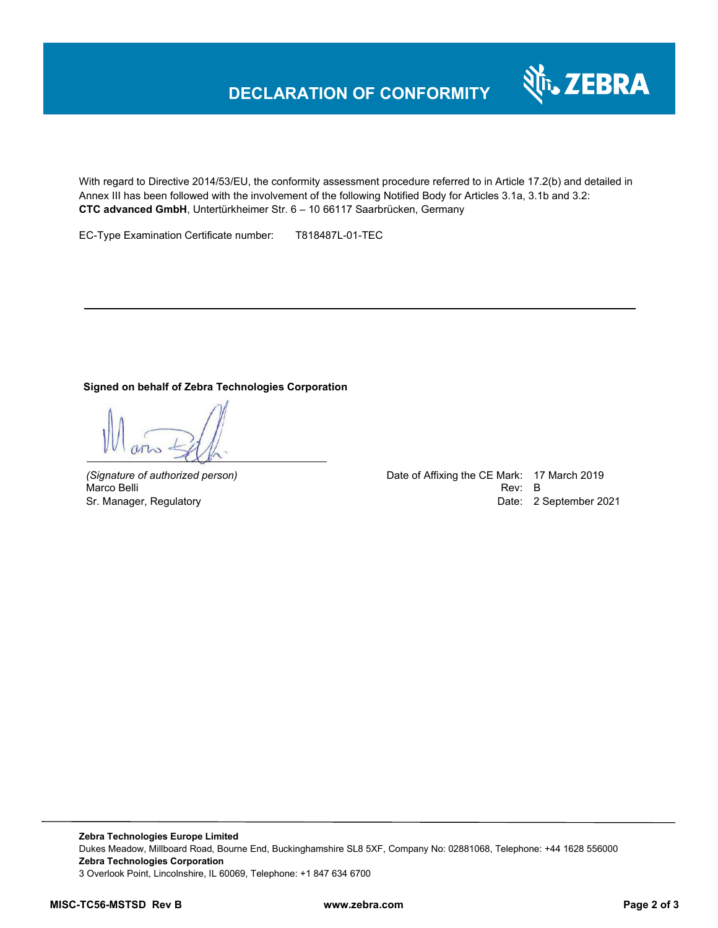## **DECLARATION OF CONFORMITY**



With regard to Directive 2014/53/EU, the conformity assessment procedure referred to in Article 17.2(b) and detailed in Annex III has been followed with the involvement of the following Notified Body for Articles 3.1a, 3.1b and 3.2: **CTC advanced GmbH**, Untertürkheimer Str. 6 – 10 66117 Saarbrücken, Germany

EC-Type Examination Certificate number: T818487L-01-TEC

## **Signed on behalf of Zebra Technologies Corporation**

*(Signature of authorized person)* Date of Affixing the CE Mark: 17 March 2019 Marco Belli Rev: B مستقادة المستقادة المستقدمة المستقدمة المستقدمة المستقدمة المستقدمة المستقدمة المستقدمة المستقدمة Sr. Manager, Regulatory and European Communication Communication Communication Communication Date: 2 September 2021

**Zebra Technologies Europe Limited**  Dukes Meadow, Millboard Road, Bourne End, Buckinghamshire SL8 5XF, Company No: 02881068, Telephone: +44 1628 556000 **Zebra Technologies Corporation**  3 Overlook Point, Lincolnshire, IL 60069, Telephone: +1 847 634 6700